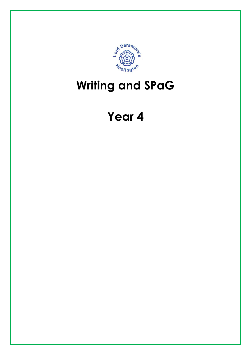

## Writing and SPaG

## Year 4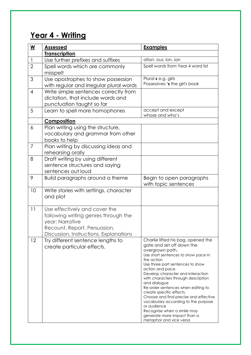## Year 4 - Writing

| $\underline{\mathsf{w}}$ | <b>Assessed</b>                         | <b>Examples</b>                                                 |
|--------------------------|-----------------------------------------|-----------------------------------------------------------------|
|                          | <b>Transcription</b>                    |                                                                 |
| $\mathbf{1}$             | Use further prefixes and suffixes       | ation, ous, ion, ian                                            |
| $\overline{2}$           | Spell words which are commonly          | Spell words from Year 4 word list                               |
|                          | misspelt                                |                                                                 |
| 3                        | Use apostrophes to show possession      | Plural s e.g. girls                                             |
|                          | with regular and irregular plural words | Possessives 's the girl's book                                  |
| $\overline{4}$           | Write simple sentences correctly from   |                                                                 |
|                          | dictation, that include words and       |                                                                 |
|                          | punctuation taught so far               |                                                                 |
| 5                        | Learn to spell more homophones          | accept and except<br>whose and who's                            |
|                          | Composition                             |                                                                 |
| 6                        | Plan writing using the structure,       |                                                                 |
|                          | vocabulary and grammar from other       |                                                                 |
|                          | books to help                           |                                                                 |
| $\overline{7}$           | Plan writing by discussing ideas and    |                                                                 |
|                          | rehearsing orally                       |                                                                 |
| 8                        | Draft writing by using different        |                                                                 |
|                          | sentence structures and saying          |                                                                 |
|                          | sentences out loud                      |                                                                 |
| 9                        | Build paragraphs around a theme         | Begin to open paragraphs                                        |
|                          |                                         | with topic sentences                                            |
| 10                       | Write stories with settings, character  |                                                                 |
|                          | and plot                                |                                                                 |
|                          |                                         |                                                                 |
| 11                       | Use effectively and cover the           |                                                                 |
|                          | following writing genres through the    |                                                                 |
|                          | year; Narrative                         |                                                                 |
|                          | Recount, Report, Persuasion,            |                                                                 |
|                          | Discussion, Instructions, Explanations  |                                                                 |
| 12                       | Try different sentence lengths to       | Charlie lifted his bag, opened the<br>gate and set off down the |
|                          | create particular effects.              | overgrown path.                                                 |
|                          |                                         | Use short sentences to show pace in                             |
|                          |                                         | the action                                                      |
|                          |                                         | Use three part sentences to show<br>action and pace.            |
|                          |                                         | Develop character and interaction                               |
|                          |                                         | with characters through description                             |
|                          |                                         | and dialogue<br>Re-order sentences when editing to              |
|                          |                                         | create specific effects.                                        |
|                          |                                         | Choose and find precise and effective                           |
|                          |                                         | vocabulary according to the purpose<br>or audience              |
|                          |                                         | Recognise when a simile may                                     |
|                          |                                         | generate more impact than a                                     |
|                          |                                         | metaphor and vice versa                                         |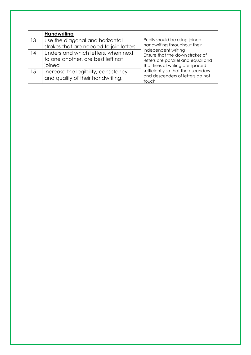|    | <b>Handwriting</b>                                                                 |                                                                                                                                                                                                                                                                                      |
|----|------------------------------------------------------------------------------------|--------------------------------------------------------------------------------------------------------------------------------------------------------------------------------------------------------------------------------------------------------------------------------------|
| 13 | Use the diagonal and horizontal<br>strokes that are needed to join letters         | Pupils should be using joined<br>handwriting throughout their<br>independent writing<br>Ensure that the down strokes of<br>letters are parallel and equal and<br>that lines of writing are spaced<br>sufficiently so that the ascenders<br>and descenders of letters do not<br>touch |
| 14 | Understand which letters, when next<br>to one another, are best left not<br>ioined |                                                                                                                                                                                                                                                                                      |
| 15 | Increase the legibility, consistency<br>and quality of their handwriting,          |                                                                                                                                                                                                                                                                                      |